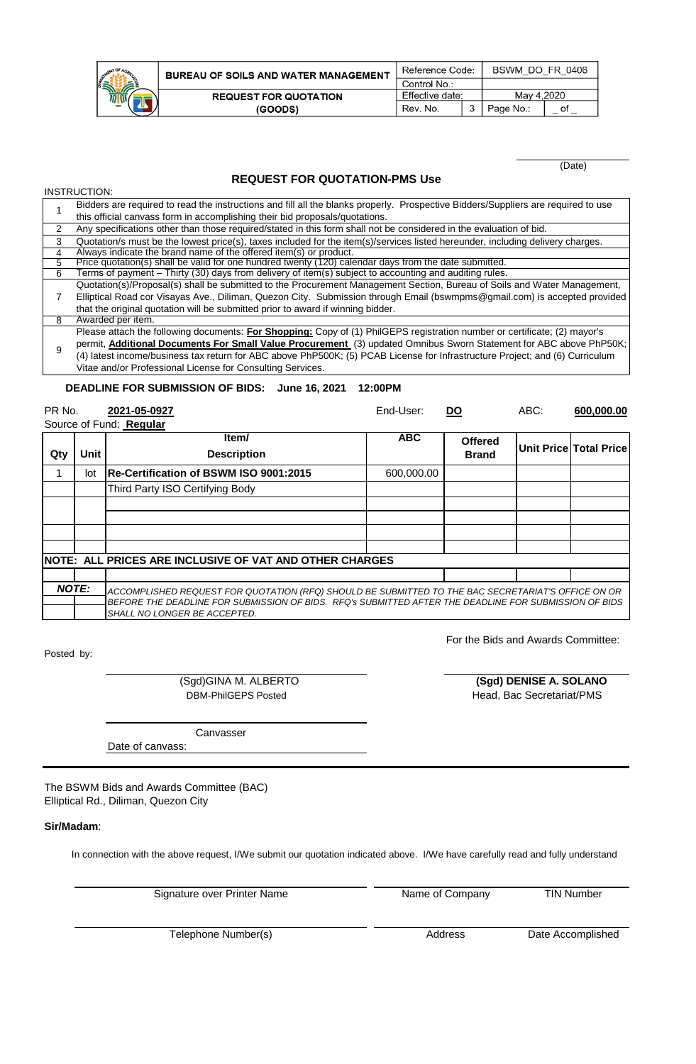| ENT OF AGRICULT<br>STAN | E |
|-------------------------|---|
|                         |   |

INSTRUCTION:

| <b>BUREAU OF SOILS AND WATER MANAGEMENT</b> | Reference Code: |  | BSWM DO FR 0406 |    |
|---------------------------------------------|-----------------|--|-----------------|----|
|                                             | Control No.:    |  |                 |    |
| <b>REQUEST FOR QUOTATION</b>                | Effective date: |  | May 4.2020      |    |
| (GOODS)                                     | Rev. No.        |  | Page No.:       | οt |

(Date)

### **REQUEST FOR QUOTATION-PMS Use**

|   | Bidders are required to read the instructions and fill all the blanks properly. Prospective Bidders/Suppliers are required to use |  |  |  |  |  |
|---|-----------------------------------------------------------------------------------------------------------------------------------|--|--|--|--|--|
|   | this official canvass form in accomplishing their bid proposals/quotations.                                                       |  |  |  |  |  |
| 2 | Any specifications other than those required/stated in this form shall not be considered in the evaluation of bid.                |  |  |  |  |  |
| 3 | Quotation/s must be the lowest price(s), taxes included for the item(s)/services listed hereunder, including delivery charges.    |  |  |  |  |  |
| 4 | Always indicate the brand name of the offered item(s) or product.                                                                 |  |  |  |  |  |
| 5 | Price quotation(s) shall be valid for one hundred twenty (120) calendar days from the date submitted.                             |  |  |  |  |  |
| 6 | Terms of payment – Thirty (30) days from delivery of item(s) subject to accounting and auditing rules.                            |  |  |  |  |  |
|   | Quotation(s)/Proposal(s) shall be submitted to the Procurement Management Section, Bureau of Soils and Water Management,          |  |  |  |  |  |
|   | Elliptical Road cor Visayas Ave., Diliman, Quezon City. Submission through Email (bswmpms@gmail.com) is accepted provided         |  |  |  |  |  |
|   | that the original quotation will be submitted prior to award if winning bidder.                                                   |  |  |  |  |  |
| 8 | Awarded per item.                                                                                                                 |  |  |  |  |  |
|   | Please attach the following documents: For Shopping: Copy of (1) PhilGEPS registration number or certificate; (2) mayor's         |  |  |  |  |  |
| 9 | permit, <b>Additional Documents For Small Value Procurement</b> (3) updated Omnibus Sworn Statement for ABC above PhP50K;         |  |  |  |  |  |
|   | (4) latest income/business tax return for ABC above PhP500K; (5) PCAB License for Infrastructure Project; and (6) Curriculum      |  |  |  |  |  |
|   | Vitae and/or Professional License for Consulting Services.                                                                        |  |  |  |  |  |
|   |                                                                                                                                   |  |  |  |  |  |
|   | DEADLINE FOR SUBMISSION OF BIDS: June 16, 2021<br>12:00PM                                                                         |  |  |  |  |  |

PR No. **2021-05-0927** End-User: **DO** ABC: **600,000.00** Source of Fund: **Regular Item/ ABC Qty Unit Description** 1 lot **Re-Certification of BSWM ISO 9001:2015** 600,000.00 Third Party ISO Certifying Body *NOTE: ACCOMPLISHED REQUEST FOR QUOTATION (RFQ) SHOULD BE SUBMITTED TO THE BAC SECRETARIAT'S OFFICE ON OR BEFORE THE DEADLINE FOR SUBMISSION OF BIDS. RFQ's SUBMITTED AFTER THE DEADLINE FOR SUBMISSION OF BIDS SHALL NO LONGER BE ACCEPTED.* **Offered Brand Unit Price Total Price NOTE: ALL PRICES ARE INCLUSIVE OF VAT AND OTHER CHARGES**

Posted by:

 (Sgd)GINA M. ALBERTO DBM-PhilGEPS Posted

 **(Sgd) DENISE A. SOLANO** Head, Bac Secretariat/PMS

For the Bids and Awards Committee:

Canvasser

Date of canvass:

The BSWM Bids and Awards Committee (BAC) Elliptical Rd., Diliman, Quezon City

### **Sir/Madam**:

In connection with the above request, I/We submit our quotation indicated above. I/We have carefully read and fully understand

Signature over Printer Name

Name of Company

TIN Number

Telephone Number(s)

Address

Date Accomplished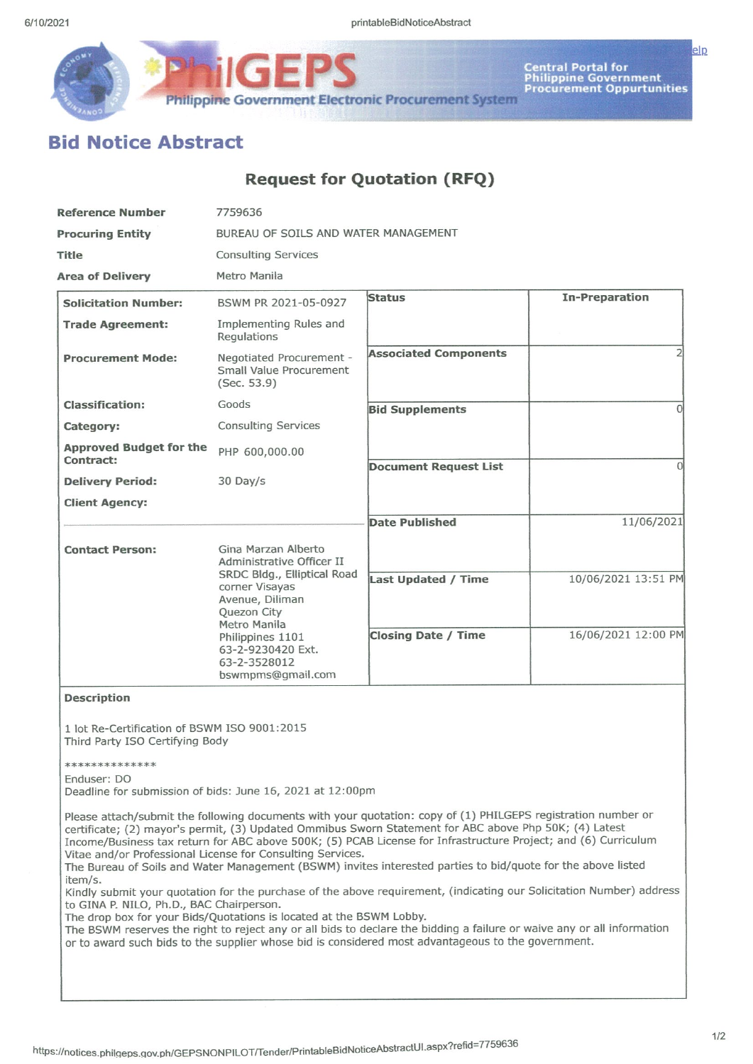

Central Portal for<br>Philippine Government<br>Procurement Oppurtunities

# **Bid Notice Abstract**

## **Request for Quotation (RFQ)**

**Philippine Government Electronic Procurement System** 

| <b>Reference Number</b>                     | 7759636                                                                                                |                              |                       |  |  |
|---------------------------------------------|--------------------------------------------------------------------------------------------------------|------------------------------|-----------------------|--|--|
| <b>Procuring Entity</b>                     | BUREAU OF SOILS AND WATER MANAGEMENT                                                                   |                              |                       |  |  |
| <b>Title</b>                                | <b>Consulting Services</b>                                                                             |                              |                       |  |  |
| <b>Area of Delivery</b>                     | Metro Manila                                                                                           |                              |                       |  |  |
| <b>Solicitation Number:</b>                 | BSWM PR 2021-05-0927                                                                                   | <b>Status</b>                | <b>In-Preparation</b> |  |  |
| <b>Trade Agreement:</b>                     | Implementing Rules and<br>Regulations                                                                  |                              |                       |  |  |
| <b>Procurement Mode:</b>                    | Negotiated Procurement -<br><b>Small Value Procurement</b><br>(Sec. 53.9)                              | <b>Associated Components</b> |                       |  |  |
| <b>Classification:</b>                      | Goods                                                                                                  | <b>Bid Supplements</b>       | U                     |  |  |
| Category:                                   | <b>Consulting Services</b>                                                                             |                              |                       |  |  |
| <b>Approved Budget for the</b><br>Contract: | PHP 600,000.00                                                                                         |                              |                       |  |  |
| <b>Delivery Period:</b>                     | 30 Day/s                                                                                               | <b>Document Request List</b> | U                     |  |  |
| <b>Client Agency:</b>                       |                                                                                                        |                              |                       |  |  |
|                                             |                                                                                                        | <b>Date Published</b>        | 11/06/2021            |  |  |
| <b>Contact Person:</b>                      | Gina Marzan Alberto<br>Administrative Officer II                                                       |                              |                       |  |  |
|                                             | SRDC Bldg., Elliptical Road<br>corner Visayas<br>Avenue, Diliman<br><b>Ouezon City</b><br>Metro Manila | Last Updated / Time          | 10/06/2021 13:51 PM   |  |  |
|                                             | Philippines 1101<br>63-2-9230420 Ext.<br>63-2-3528012<br>bswmpms@gmail.com                             | <b>Closing Date / Time</b>   | 16/06/2021 12:00 PM   |  |  |
| <b>Description</b>                          |                                                                                                        |                              |                       |  |  |

1 lot Re-Certification of BSWM ISO 9001:2015 Third Party ISO Certifying Body

#### \*\*\*\*\*\*\*\*\*\*\*\*\*\*

### Enduser: DO

Deadline for submission of bids: June 16, 2021 at 12:00pm

Please attach/submit the following documents with your quotation: copy of (1) PHILGEPS registration number or certificate; (2) mayor's permit, (3) Updated Ommibus Sworn Statement for ABC above Php 50K; (4) Latest Income/Business tax return for ABC above 500K; (5) PCAB License for Infrastructure Project; and (6) Curriculum Vitae and/or Professional License for Consulting Services.

The Bureau of Soils and Water Management (BSWM) invites interested parties to bid/quote for the above listed item/s.

Kindly submit your quotation for the purchase of the above requirement, (indicating our Solicitation Number) address to GINA P. NILO, Ph.D., BAC Chairperson.

The drop box for your Bids/Quotations is located at the BSWM Lobby.

The BSWM reserves the right to reject any or all bids to declare the bidding a failure or waive any or all information or to award such bids to the supplier whose bid is considered most advantageous to the government.